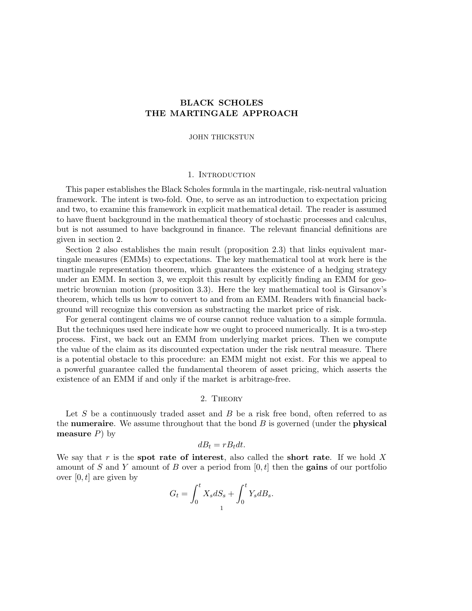# BLACK SCHOLES THE MARTINGALE APPROACH

#### JOHN THICKSTUN

## 1. INTRODUCTION

This paper establishes the Black Scholes formula in the martingale, risk-neutral valuation framework. The intent is two-fold. One, to serve as an introduction to expectation pricing and two, to examine this framework in explicit mathematical detail. The reader is assumed to have fluent background in the mathematical theory of stochastic processes and calculus, but is not assumed to have background in finance. The relevant financial definitions are given in section 2.

Section 2 also establishes the main result (proposition 2.3) that links equivalent martingale measures (EMMs) to expectations. The key mathematical tool at work here is the martingale representation theorem, which guarantees the existence of a hedging strategy under an EMM. In section 3, we exploit this result by explicitly finding an EMM for geometric brownian motion (proposition 3.3). Here the key mathematical tool is Girsanov's theorem, which tells us how to convert to and from an EMM. Readers with financial background will recognize this conversion as substracting the market price of risk.

For general contingent claims we of course cannot reduce valuation to a simple formula. But the techniques used here indicate how we ought to proceed numerically. It is a two-step process. First, we back out an EMM from underlying market prices. Then we compute the value of the claim as its discounted expectation under the risk neutral measure. There is a potential obstacle to this procedure: an EMM might not exist. For this we appeal to a powerful guarantee called the fundamental theorem of asset pricing, which asserts the existence of an EMM if and only if the market is arbitrage-free.

# 2. Theory

Let  $S$  be a continuously traded asset and  $B$  be a risk free bond, often referred to as the **numeraire**. We assume throughout that the bond  $B$  is governed (under the **physical** measure  $P$ ) by

$$
dB_t = rB_t dt.
$$

We say that r is the spot rate of interest, also called the short rate. If we hold  $X$ amount of S and Y amount of B over a period from  $[0, t]$  then the **gains** of our portfolio over  $[0, t]$  are given by

$$
G_t = \int_0^t X_s dS_s + \int_0^t Y_s dB_s.
$$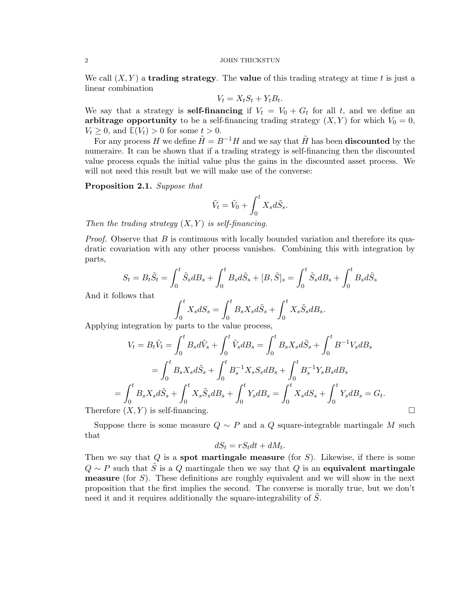#### 2 JOHN THICKSTUN

We call  $(X, Y)$  a trading strategy. The value of this trading strategy at time t is just a linear combination

$$
V_t = X_t S_t + Y_t B_t.
$$

We say that a strategy is **self-financing** if  $V_t = V_0 + G_t$  for all t, and we define an arbitrage opportunity to be a self-financing trading strategy  $(X, Y)$  for which  $V_0 = 0$ ,  $V_t \geq 0$ , and  $\mathbb{E}(V_t) > 0$  for some  $t > 0$ .

For any process H we define  $\tilde{H} = B^{-1}H$  and we say that  $\tilde{H}$  has been **discounted** by the numeraire. It can be shown that if a trading strategy is self-financing then the discounted value process equals the initial value plus the gains in the discounted asset process. We will not need this result but we will make use of the converse:

Proposition 2.1. Suppose that

$$
\tilde{V}_t = \tilde{V}_0 + \int_0^t X_s d\tilde{S}_s.
$$

Then the trading strategy  $(X, Y)$  is self-financing.

*Proof.* Observe that  $B$  is continuous with locally bounded variation and therefore its quadratic covariation with any other process vanishes. Combining this with integration by parts,

$$
S_t = B_t \tilde{S}_t = \int_0^t \tilde{S}_s dB_s + \int_0^t B_s d\tilde{S}_s + [B, \tilde{S}]_s = \int_0^t \tilde{S}_s dB_s + \int_0^t B_s d\tilde{S}_s
$$

And it follows that

$$
\int_0^t X_s dS_s = \int_0^t B_s X_s d\tilde{S}_s + \int_0^t X_s \tilde{S}_s dB_s.
$$

Applying integration by parts to the value process,

$$
V_t = B_t \tilde{V}_t = \int_0^t B_s d\tilde{V}_s + \int_0^t \tilde{V}_s dB_s = \int_0^t B_s X_s d\tilde{S}_s + \int_0^t B^{-1} V_s dB_s
$$
  
=  $\int_0^t B_s X_s d\tilde{S}_s + \int_0^t B_s^{-1} X_s S_s dB_s + \int_0^t B_s^{-1} Y_s B_s dB_s$   
=  $\int_0^t B_s X_s d\tilde{S}_s + \int_0^t X_s \tilde{S}_s dB_s + \int_0^t Y_s dB_s = \int_0^t X_s dS_s + \int_0^t Y_s dB_s = G_t.$   
Therefore  $(X, Y)$  is self-financing.

Suppose there is some measure  $Q \sim P$  and a Q square-integrable martingale M such that

$$
dS_t = rS_t dt + dM_t.
$$

Then we say that  $Q$  is a **spot martingale measure** (for  $S$ ). Likewise, if there is some  $Q \sim P$  such that S is a Q martingale then we say that Q is an equivalent martingale **measure** (for  $S$ ). These definitions are roughly equivalent and we will show in the next proposition that the first implies the second. The converse is morally true, but we don't need it and it requires additionally the square-integrability of S.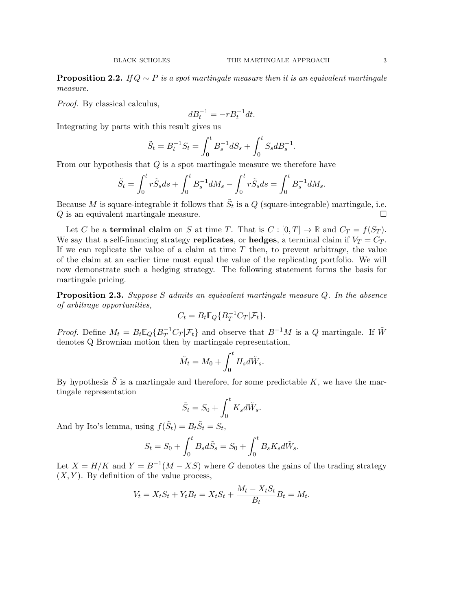**Proposition 2.2.** If  $Q \sim P$  is a spot martingale measure then it is an equivalent martingale measure.

Proof. By classical calculus,

$$
dB_t^{-1} = -rB_t^{-1}dt.
$$

Integrating by parts with this result gives us

$$
\tilde{S}_t = B_t^{-1} S_t = \int_0^t B_s^{-1} dS_s + \int_0^t S_s dB_s^{-1}.
$$

From our hypothesis that  $Q$  is a spot martingale measure we therefore have

$$
\tilde{S}_t = \int_0^t r \tilde{S}_s ds + \int_0^t B_s^{-1} dM_s - \int_0^t r \tilde{S}_s ds = \int_0^t B_s^{-1} dM_s.
$$

Because M is square-integrable it follows that  $\tilde{S}_t$  is a Q (square-integrable) martingale, i.e.  $Q$  is an equivalent martingale measure.

Let C be a **terminal claim** on S at time T. That is  $C : [0, T] \to \mathbb{R}$  and  $C_T = f(S_T)$ . We say that a self-financing strategy replicates, or hedges, a terminal claim if  $V_T = C_T$ . If we can replicate the value of a claim at time  $T$  then, to prevent arbitrage, the value of the claim at an earlier time must equal the value of the replicating portfolio. We will now demonstrate such a hedging strategy. The following statement forms the basis for martingale pricing.

**Proposition 2.3.** Suppose S admits an equivalent martingale measure  $Q$ . In the absence of arbitrage opportunities,

$$
C_t = B_t \mathbb{E}_Q \{ B_T^{-1} C_T | \mathcal{F}_t \}.
$$

*Proof.* Define  $M_t = B_t \mathbb{E}_Q \{ B_T^{-1} C_T | \mathcal{F}_t \}$  and observe that  $B^{-1}M$  is a Q martingale. If  $\tilde{W}$ denotes Q Brownian motion then by martingale representation,

$$
\tilde{M}_t = M_0 + \int_0^t H_s d\tilde{W}_s.
$$

By hypothesis  $\tilde{S}$  is a martingale and therefore, for some predictable K, we have the martingale representation

$$
\tilde{S}_t = S_0 + \int_0^t K_s d\tilde{W}_s.
$$

And by Ito's lemma, using  $f(\tilde{S}_t) = B_t \tilde{S}_t = S_t$ ,

$$
S_t = S_0 + \int_0^t B_s d\tilde{S}_s = S_0 + \int_0^t B_s K_s d\tilde{W}_s.
$$

Let  $X = H/K$  and  $Y = B^{-1}(M - KS)$  where G denotes the gains of the trading strategy  $(X, Y)$ . By definition of the value process,

$$
V_t = X_t S_t + Y_t B_t = X_t S_t + \frac{M_t - X_t S_t}{B_t} B_t = M_t.
$$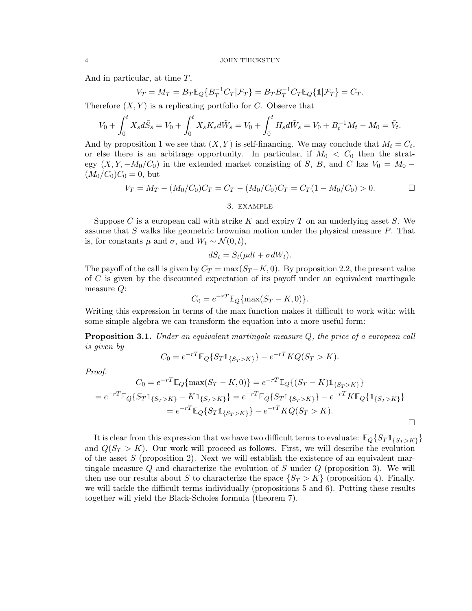And in particular, at time T,

$$
V_T = M_T = B_T \mathbb{E}_Q \{ B_T^{-1} C_T | \mathcal{F}_T \} = B_T B_T^{-1} C_T \mathbb{E}_Q \{ \mathbb{1} | \mathcal{F}_T \} = C_T.
$$

Therefore  $(X, Y)$  is a replicating portfolio for C. Observe that

$$
V_0 + \int_0^t X_s d\tilde{S}_s = V_0 + \int_0^t X_s K_s d\tilde{W}_s = V_0 + \int_0^t H_s d\tilde{W}_s = V_0 + B_t^{-1} M_t - M_0 = \tilde{V}_t.
$$

And by proposition 1 we see that  $(X, Y)$  is self-financing. We may conclude that  $M_t = C_t$ , or else there is an arbitrage opportunity. In particular, if  $M_0 < C_0$  then the strategy  $(X, Y, -M_0/C_0)$  in the extended market consisting of S, B, and C has  $V_0 = M_0 (M_0/C_0)C_0 = 0$ , but

$$
V_T = M_T - (M_0/C_0)C_T = C_T - (M_0/C_0)C_T = C_T(1 - M_0/C_0) > 0.
$$

3. example

Suppose C is a european call with strike K and expiry T on an underlying asset S. We assume that  $S$  walks like geometric brownian motion under the physical measure  $P$ . That is, for constants  $\mu$  and  $\sigma$ , and  $W_t \sim \mathcal{N}(0, t)$ ,

$$
dS_t = S_t(\mu dt + \sigma dW_t).
$$

The payoff of the call is given by  $C_T = \max(S_T - K, 0)$ . By proposition 2.2, the present value of  $C$  is given by the discounted expectation of its payoff under an equivalent martingale measure Q:

$$
C_0 = e^{-rT} \mathbb{E}_Q \{ \max(S_T - K, 0) \}.
$$

Writing this expression in terms of the max function makes it difficult to work with; with some simple algebra we can transform the equation into a more useful form:

**Proposition 3.1.** Under an equivalent martingale measure  $Q$ , the price of a european call is given by

$$
C_0 = e^{-rT} \mathbb{E}_Q \{ S_T \mathbb{1}_{\{ S_T > K \}} \} - e^{-rT} K Q(S_T > K).
$$

Proof.

$$
C_0 = e^{-rT} \mathbb{E}_Q \{ \max(S_T - K, 0) \} = e^{-rT} \mathbb{E}_Q \{ (S_T - K) \mathbb{1}_{\{ S_T > K \}} \}
$$
  
=  $e^{-rT} \mathbb{E}_Q \{ S_T \mathbb{1}_{\{ S_T > K \}} - K \mathbb{1}_{\{ S_T > K \}} \} = e^{-rT} \mathbb{E}_Q \{ S_T \mathbb{1}_{\{ S_T > K \}} \} - e^{-rT} K \mathbb{E}_Q \{ \mathbb{1}_{\{ S_T > K \}} \}$   
=  $e^{-rT} \mathbb{E}_Q \{ S_T \mathbb{1}_{\{ S_T > K \}} \} - e^{-rT} K Q(S_T > K).$ 

It is clear from this expression that we have two difficult terms to evaluate:  $\mathbb{E}_{Q}\{S_T \mathbb{1}_{\{S_T > K\}}\}$ and  $Q(S_T > K)$ . Our work will proceed as follows. First, we will describe the evolution of the asset  $S$  (proposition 2). Next we will establish the existence of an equivalent martingale measure  $Q$  and characterize the evolution of  $S$  under  $Q$  (proposition 3). We will then use our results about S to characterize the space  $\{S_T > K\}$  (proposition 4). Finally, we will tackle the difficult terms individually (propositions 5 and 6). Putting these results together will yield the Black-Scholes formula (theorem 7).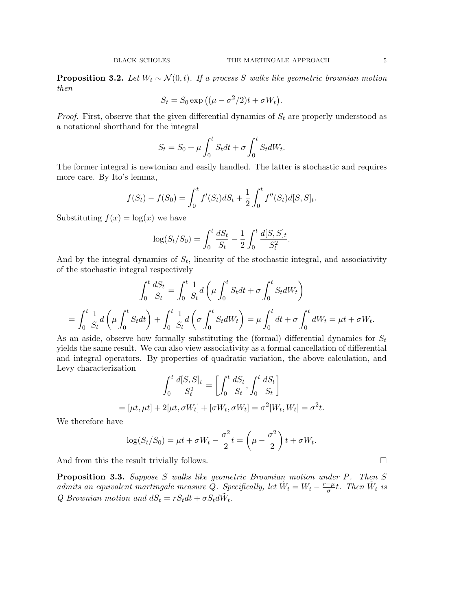**Proposition 3.2.** Let  $W_t \sim \mathcal{N}(0, t)$ . If a process S walks like geometric brownian motion then

$$
S_t = S_0 \exp ((\mu - \sigma^2/2)t + \sigma W_t).
$$

*Proof.* First, observe that the given differential dynamics of  $S_t$  are properly understood as a notational shorthand for the integral

$$
S_t = S_0 + \mu \int_0^t S_t dt + \sigma \int_0^t S_t dW_t.
$$

The former integral is newtonian and easily handled. The latter is stochastic and requires more care. By Ito's lemma,

$$
f(S_t) - f(S_0) = \int_0^t f'(S_t) dS_t + \frac{1}{2} \int_0^t f''(S_t) d[S, S]_t.
$$

Substituting  $f(x) = \log(x)$  we have

$$
\log(S_t/S_0) = \int_0^t \frac{dS_t}{S_t} - \frac{1}{2} \int_0^t \frac{d[S, S]_t}{S_t^2}.
$$

And by the integral dynamics of  $S_t$ , linearity of the stochastic integral, and associativity of the stochastic integral respectively

$$
\int_0^t \frac{dS_t}{S_t} = \int_0^t \frac{1}{S_t} d\left(\mu \int_0^t S_t dt + \sigma \int_0^t S_t dW_t\right)
$$

$$
= \int_0^t \frac{1}{S_t} d\left(\mu \int_0^t S_t dt\right) + \int_0^t \frac{1}{S_t} d\left(\sigma \int_0^t S_t dW_t\right) = \mu \int_0^t dt + \sigma \int_0^t dW_t = \mu t + \sigma W_t.
$$

As an aside, observe how formally substituting the (formal) differential dynamics for  $S_t$ yields the same result. We can also view associativity as a formal cancellation of differential and integral operators. By properties of quadratic variation, the above calculation, and Levy characterization

$$
\int_0^t \frac{d[S, S]_t}{S_t^2} = \left[ \int_0^t \frac{dS_t}{S_t}, \int_0^t \frac{dS_t}{S_t} \right]
$$
  
=  $[\mu t, \mu t] + 2[\mu t, \sigma W_t] + [\sigma W_t, \sigma W_t] = \sigma^2[W_t, W_t] = \sigma^2 t.$ 

We therefore have

$$
\log(S_t/S_0) = \mu t + \sigma W_t - \frac{\sigma^2}{2}t = \left(\mu - \frac{\sigma^2}{2}\right)t + \sigma W_t.
$$

And from this the result trivially follows.

Proposition 3.3. Suppose S walks like geometric Brownian motion under P. Then S admits an equivalent martingale measure Q. Specifically, let  $\tilde{W}_t = W_t - \frac{r-\mu}{\sigma}$  $\frac{-\mu}{\sigma}t$ . Then  $\tilde{W}_t$  is Q Brownian motion and  $dS_t = rS_t dt + \sigma S_t d\tilde{W}_t$ .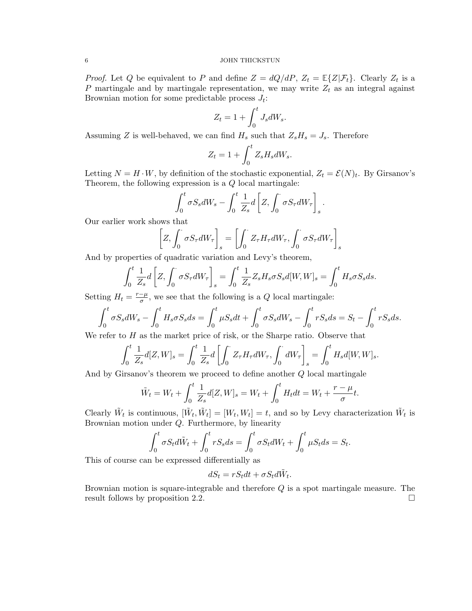### 6 JOHN THICKSTUN

*Proof.* Let Q be equivalent to P and define  $Z = dQ/dP$ ,  $Z_t = \mathbb{E}\{Z|\mathcal{F}_t\}$ . Clearly  $Z_t$  is a P martingale and by martingale representation, we may write  $Z_t$  as an integral against Brownian motion for some predictable process  $J_t$ :

$$
Z_t = 1 + \int_0^t J_s dW_s.
$$

Assuming Z is well-behaved, we can find  $H_s$  such that  $Z_sH_s=J_s$ . Therefore

$$
Z_t = 1 + \int_0^t Z_s H_s dW_s.
$$

Letting  $N = H \cdot W$ , by definition of the stochastic exponential,  $Z_t = \mathcal{E}(N)_t$ . By Girsanov's Theorem, the following expression is a Q local martingale:

$$
\int_0^t \sigma S_s dW_s - \int_0^t \frac{1}{Z_s} d\left[ Z, \int_0^{\cdot} \sigma S_{\tau} dW_{\tau} \right]_s
$$

.

Our earlier work shows that

$$
\left[Z, \int_0^{\cdot} \sigma S_{\tau} dW_{\tau}\right]_s = \left[\int_0^{\cdot} Z_{\tau} H_{\tau} dW_{\tau}, \int_0^{\cdot} \sigma S_{\tau} dW_{\tau}\right]_s
$$

And by properties of quadratic variation and Levy's theorem,

$$
\int_0^t \frac{1}{Z_s} d\left[Z, \int_0^{\cdot} \sigma S_{\tau} dW_{\tau}\right]_s = \int_0^t \frac{1}{Z_s} Z_s H_s \sigma S_s d[W, W]_s = \int_0^t H_s \sigma S_s ds.
$$

Setting  $H_t = \frac{r-\mu}{\sigma}$  $\frac{-\mu}{\sigma}$ , we see that the following is a Q local martingale:

$$
\int_0^t \sigma S_s dW_s - \int_0^t H_s \sigma S_s ds = \int_0^t \mu S_s dt + \int_0^t \sigma S_s dW_s - \int_0^t r S_s ds = S_t - \int_0^t r S_s ds.
$$

We refer to  $H$  as the market price of risk, or the Sharpe ratio. Observe that

$$
\int_0^t \frac{1}{Z_s} d[Z, W]_s = \int_0^t \frac{1}{Z_s} d\left[\int_0^{\cdot} Z_{\tau} H_{\tau} dW_{\tau}, \int_0^{\cdot} dW_{\tau}\right]_s = \int_0^t H_s d[W, W]_s.
$$

And by Girsanov's theorem we proceed to define another Q local martingale

$$
\tilde{W}_t = W_t + \int_0^t \frac{1}{Z_s} d[Z, W]_s = W_t + \int_0^t H_t dt = W_t + \frac{r - \mu}{\sigma} t.
$$

Clearly  $\tilde{W}_t$  is continuous,  $[\tilde{W}_t, \tilde{W}_t] = [W_t, W_t] = t$ , and so by Levy characterization  $\tilde{W}_t$  is Brownian motion under Q. Furthermore, by linearity

$$
\int_0^t \sigma S_t d\tilde{W}_t + \int_0^t r S_s ds = \int_0^t \sigma S_t dW_t + \int_0^t \mu S_t ds = S_t.
$$

This of course can be expressed differentially as

$$
dS_t = rS_t dt + \sigma S_t d\tilde{W}_t.
$$

Brownian motion is square-integrable and therefore Q is a spot martingale measure. The result follows by proposition 2.2.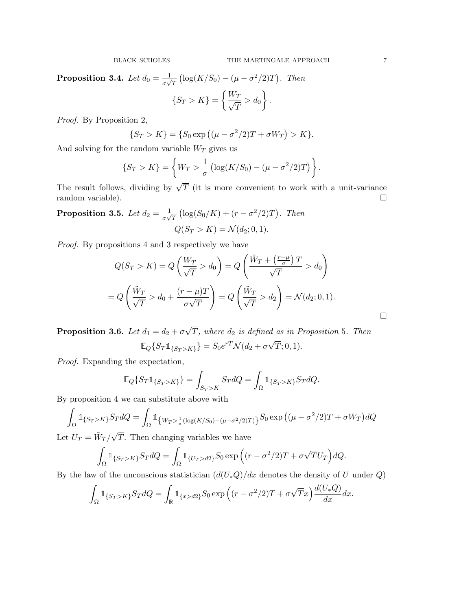Proposition 3.4. Let  $d_0 = \frac{1}{\sigma}$  $\frac{1}{\sigma\sqrt{T}}\left(\log(K/S_0)-(\mu-\sigma^2/2)T\right)$ . Then  $\int$  $W_T$  $\mathcal{L}$ 

$$
\{S_T > K\} = \left\{\frac{W_T}{\sqrt{T}} > d_0\right\}.
$$

Proof. By Proposition 2,

$$
\{S_T > K\} = \{S_0 \exp ((\mu - \sigma^2/2)T + \sigma W_T) > K\}.
$$

And solving for the random variable  $W_T$  gives us

$$
\{S_T > K\} = \left\{ W_T > \frac{1}{\sigma} \left( \log(K/S_0) - (\mu - \sigma^2/2) T \right) \right\}.
$$

The result follows, dividing by  $\sqrt{T}$  (it is more convenient to work with a unit-variance random variable).

**Proposition 3.5.** Let  $d_2 = \frac{1}{\sigma}$  $\frac{1}{\sigma\sqrt{T}}\left(\log(S_0/K)+(r-\sigma^2/2)T\right)$ . Then  $Q(S_T > K) = \mathcal{N}(d_2; 0, 1).$ 

Proof. By propositions 4 and 3 respectively we have

$$
Q(S_T > K) = Q\left(\frac{W_T}{\sqrt{T}} > d_0\right) = Q\left(\frac{\tilde{W}_T + \left(\frac{r-\mu}{\sigma}\right)T}{\sqrt{T}} > d_0\right)
$$

$$
= Q\left(\frac{\tilde{W}_T}{\sqrt{T}} > d_0 + \frac{(r-\mu)T}{\sigma\sqrt{T}}\right) = Q\left(\frac{\tilde{W}_T}{\sqrt{T}} > d_2\right) = \mathcal{N}(d_2; 0, 1).
$$

Proposition 3.6. Let  $d_1 = d_2 + \sigma$ √  $T$ , where  $d_2$  is defined as in Proposition 5. Then  $\mathbb{E}_Q\{S_T 1\{S_T>K\}} = S_0 e^{rT} \mathcal{N}(d_2 + \sigma \sqrt{d_1}$  $T; 0, 1$ .

Proof. Expanding the expectation,

$$
\mathbb{E}_Q\{S_T \mathbb{1}_{\{S_T > K\}}\} = \int_{S_T > K} S_T dQ = \int_{\Omega} \mathbb{1}_{\{S_T > K\}} S_T dQ.
$$

By proposition 4 we can substitute above with

$$
\int_{\Omega} \mathbb{1}_{\{S_T > K\}} S_T dQ = \int_{\Omega} \mathbb{1}_{\{W_T > \frac{1}{\sigma}(\log(K/S_0) - (\mu - \sigma^2/2)T)\}} S_0 \exp\left((\mu - \sigma^2/2)T + \sigma W_T\right) dQ
$$

Let  $U_T = \tilde{W}_T /$ T. Then changing variables we have

$$
\int_{\Omega} \mathbb{1}_{\{S_T > K\}} S_T dQ = \int_{\Omega} \mathbb{1}_{\{U_T > d2\}} S_0 \exp\left( (r - \sigma^2 / 2) T + \sigma \sqrt{T} U_T \right) dQ.
$$

By the law of the unconscious statistician  $(d(U_*Q)/dx$  denotes the density of U under Q)

$$
\int_{\Omega} \mathbb{1}_{\{S_T > K\}} S_T dQ = \int_{\mathbb{R}} \mathbb{1}_{\{x > d2\}} S_0 \exp\left( (r - \sigma^2 / 2) T + \sigma \sqrt{T} x \right) \frac{d(U_* Q)}{dx} dx.
$$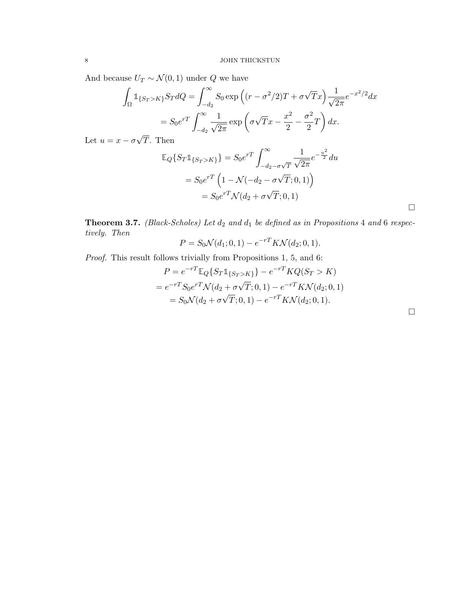And because  $U_T \sim \mathcal{N}(0, 1)$  under  $Q$  we have

$$
\int_{\Omega} \mathbb{1}_{\{S_T > K\}} S_T dQ = \int_{-d_2}^{\infty} S_0 \exp\left( (r - \sigma^2 / 2) T + \sigma \sqrt{T} x \right) \frac{1}{\sqrt{2\pi}} e^{-x^2 / 2} dx
$$

$$
= S_0 e^{rT} \int_{-d_2}^{\infty} \frac{1}{\sqrt{2\pi}} \exp\left( \sigma \sqrt{T} x - \frac{x^2}{2} - \frac{\sigma^2}{2} T \right) dx.
$$

Let  $u = x - \sigma$ T. Then

$$
\mathbb{E}_{Q}\{S_{T}\mathbb{1}_{\{S_{T}>K\}}\} = S_{0}e^{rT} \int_{-d_{2}-\sigma\sqrt{T}}^{\infty} \frac{1}{\sqrt{2\pi}} e^{-\frac{u^{2}}{2}} du
$$

$$
= S_{0}e^{rT} \left(1 - \mathcal{N}(-d_{2}-\sigma\sqrt{T};0,1)\right)
$$

$$
= S_{0}e^{rT} \mathcal{N}(d_{2}+\sigma\sqrt{T};0,1)
$$

**Theorem 3.7.** (Black-Scholes) Let  $d_2$  and  $d_1$  be defined as in Propositions 4 and 6 respectively. Then

$$
P = S_0 \mathcal{N}(d_1; 0, 1) - e^{-rT} K \mathcal{N}(d_2; 0, 1).
$$

Proof. This result follows trivially from Propositions 1, 5, and 6:

$$
P = e^{-rT} \mathbb{E}_{Q} \{ S_T \mathbb{1}_{\{S_T > K\}} \} - e^{-rT} KQ(S_T > K)
$$
  
=  $e^{-rT} S_0 e^{rT} \mathcal{N}(d_2 + \sigma \sqrt{T}; 0, 1) - e^{-rT} K \mathcal{N}(d_2; 0, 1)$   
=  $S_0 \mathcal{N}(d_2 + \sigma \sqrt{T}; 0, 1) - e^{-rT} K \mathcal{N}(d_2; 0, 1).$ 

 $\Box$